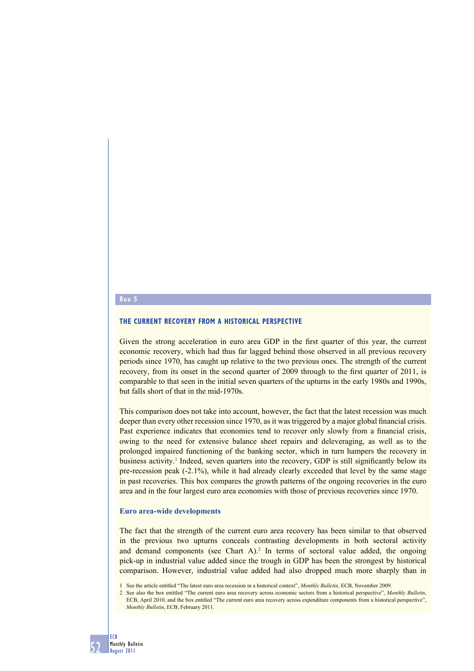## **Box 5**

## **THE CURRENT RECOVERY FROM A HISTORICAL PERSPECTIVE**

Given the strong acceleration in euro area GDP in the first quarter of this year, the current economic recovery, which had thus far lagged behind those observed in all previous recovery periods since 1970, has caught up relative to the two previous ones. The strength of the current recovery, from its onset in the second quarter of 2009 through to the first quarter of 2011, is comparable to that seen in the initial seven quarters of the upturns in the early 1980s and 1990s, but falls short of that in the mid-1970s.

This comparison does not take into account, however, the fact that the latest recession was much deeper than every other recession since 1970, as it was triggered by a major global financial crisis. Past experience indicates that economies tend to recover only slowly from a financial crisis, owing to the need for extensive balance sheet repairs and deleveraging, as well as to the prolonged impaired functioning of the banking sector, which in turn hampers the recovery in business activity.<sup>1</sup> Indeed, seven quarters into the recovery, GDP is still significantly below its pre-recession peak (-2.1%), while it had already clearly exceeded that level by the same stage in past recoveries. This box compares the growth patterns of the ongoing recoveries in the euro area and in the four largest euro area economies with those of previous recoveries since 1970.

#### **Euro area-wide developments**

The fact that the strength of the current euro area recovery has been similar to that observed in the previous two upturns conceals contrasting developments in both sectoral activity and demand components (see Chart  $A$ ).<sup>2</sup> In terms of sectoral value added, the ongoing pick-up in industrial value added since the trough in GDP has been the strongest by historical comparison. However, industrial value added had also dropped much more sharply than in

1 See the article entitled "The latest euro area recession in a historical context", *Monthly Bulletin*, ECB, November 2009.

2 See also the box entitled "The current euro area recovery across economic sectors from a historical perspective", *Monthly Bulletin*, ECB, April 2010, and the box entitled "The current euro area recovery across expenditure components from a historical perspective", *Monthly Bulletin*, ECB, February 2011.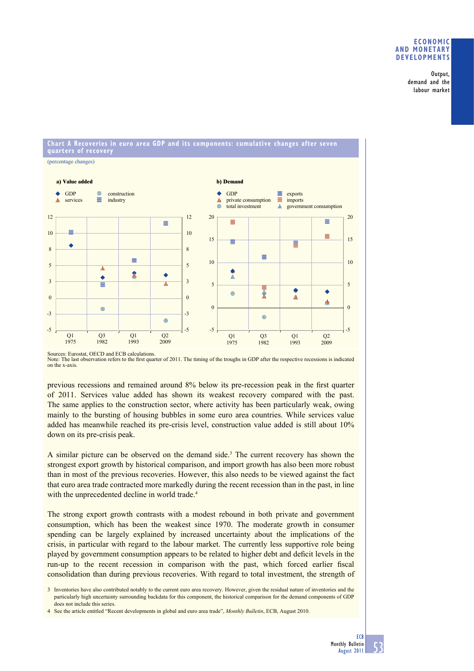## **ECONOMIC AND MONETARY DEVELOPMENTS**

Output, demand and the labour market

# **Chart A Recoveries in euro area GDP and its components: cumulative changes after seven quarters of recovery**



Sources: Eurostat, OECD and ECB calculations. Note: The last observation refers to the first quarter of 2011. The timing of the troughs in GDP after the respective recessions is indicated on the x-axis.

previous recessions and remained around 8% below its pre-recession peak in the first quarter of 2011. Services value added has shown its weakest recovery compared with the past. The same applies to the construction sector, where activity has been particularly weak, owing mainly to the bursting of housing bubbles in some euro area countries. While services value added has meanwhile reached its pre-crisis level, construction value added is still about 10% down on its pre-crisis peak.

A similar picture can be observed on the demand side.<sup>3</sup> The current recovery has shown the strongest export growth by historical comparison, and import growth has also been more robust than in most of the previous recoveries. However, this also needs to be viewed against the fact that euro area trade contracted more markedly during the recent recession than in the past, in line with the unprecedented decline in world trade.<sup>4</sup>

The strong export growth contrasts with a modest rebound in both private and government consumption, which has been the weakest since 1970. The moderate growth in consumer spending can be largely explained by increased uncertainty about the implications of the crisis, in particular with regard to the labour market. The currently less supportive role being played by government consumption appears to be related to higher debt and deficit levels in the run-up to the recent recession in comparison with the past, which forced earlier fiscal consolidation than during previous recoveries. With regard to total investment, the strength of

3 Inventories have also contributed notably to the current euro area recovery. However, given the residual nature of inventories and the particularly high uncertainty surrounding backdata for this component, the historical comparison for the demand components of GDP does not include this series.

4 See the article entitled "Recent developments in global and euro area trade", *Monthly Bulletin*, ECB, August 2010.

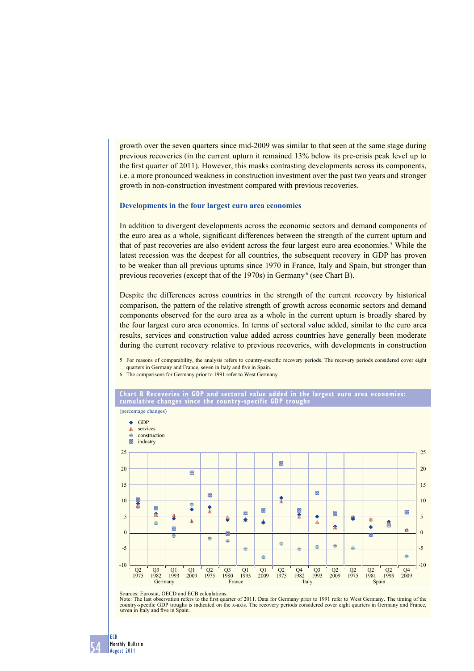growth over the seven quarters since mid-2009 was similar to that seen at the same stage during previous recoveries (in the current upturn it remained 13% below its pre-crisis peak level up to the first quarter of 2011). However, this masks contrasting developments across its components, i.e. a more pronounced weakness in construction investment over the past two years and stronger growth in non-construction investment compared with previous recoveries.

## **Developments in the four largest euro area economies**

In addition to divergent developments across the economic sectors and demand components of the euro area as a whole, significant differences between the strength of the current upturn and that of past recoveries are also evident across the four largest euro area economies.<sup>5</sup> While the latest recession was the deepest for all countries, the subsequent recovery in GDP has proven to be weaker than all previous upturns since 1970 in France, Italy and Spain, but stronger than previous recoveries (except that of the 1970s) in Germany<sup>6</sup> (see Chart B).

Despite the differences across countries in the strength of the current recovery by historical comparison, the pattern of the relative strength of growth across economic sectors and demand components observed for the euro area as a whole in the current upturn is broadly shared by the four largest euro area economies. In terms of sectoral value added, similar to the euro area results, services and construction value added across countries have generally been moderate during the current recovery relative to previous recoveries, with developments in construction

- 5 For reasons of comparability, the analysis refers to country-specifi c recovery periods. The recovery periods considered cover eight quarters in Germany and France, seven in Italy and five in Spain.
- 6 The comparisons for Germany prior to 1991 refer to West Germany.





Sources: Eurostat, OECD and ECB calculations.

Note: The last observation refers to the first quarter of 2011. Data for Germany prior to 1991 refer to West Germany. The timing of the country-specific GDP troughs is indicated on the x-axis. The recovery periods consider seven in Italy and five in Spain.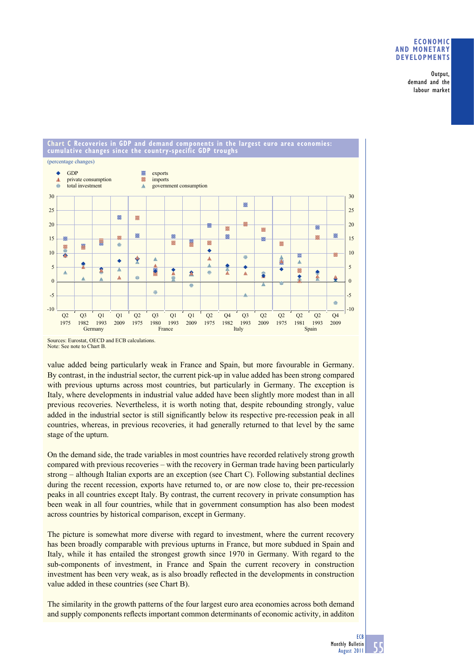## **ECONOMIC AND MONETARY DEVELOPMENTS**

Output, demand and the labour market

#### **Chart C Recoveries in GDP and demand components in the largest euro area economies: cumulative changes since the country-specific GDP troughs**  (percentage changes) GDP  $\bullet$  $\mathcal{V}$ exports  $\Lambda$ private consumption Z imports  $\equiv$ total investment government consumption À 30 30  $\mathcal{U}$ 25 25  $\mathbb{Z}$  $\mathbb{R}^2$ 20 20 Z  $\overline{V}$  $\overline{V}$ 2  $\mathbb{Z}$  $^{\prime\prime}$  $\overline{Z}$  $\mathbb{Z}$  $\mathcal{U}$  $\mathbb{R}^2$ 15  $\mathbb{Z}/2$  $\mathbb{Z}$  $\mathbb{Z}$ 15  $\mathbb{Z}^2$  $\overline{\mathcal{N}}$  $\mathbb{Z}$  $\equiv$ N  $\leq$  $\ddot{\bullet}$ 10 10 Ā  $\overline{v}$  $\mathbb{Z}$  $\equiv$  $\mathbb{A}$  $\Lambda$ т 翕  $\bullet$  $\mathbb A$  $\Delta$ 5 5 ↥ A z  $\overline{\mathbb{R}}$  $\frac{1}{2}$ Ŧ  $\mathbb{A}$ S  $\qquad \qquad \Longleftrightarrow$  $\triangle$  $\mathbb{A}$  $\frac{1}{2}$ 全小 i.  $\Lambda$ ۰  $\epsilon$ 0  $\equiv$  $\Rightarrow$ -5 -5  $\Rightarrow$  $-10$  $-10$ Q2 Q3  $\Omega$  $\Omega$  $Q^2$   $Q^3$  $\Omega$ 1  $\Omega$  $Q^2$   $Q^4$  $O<sub>3</sub>$  $\Omega$  $Q_2$   $Q_2$  $O<sub>2</sub>$ Q4 1993 1975 1982 199<br>Germany 2009 1975 1980 1993 2009 1975 1982  $\frac{1993}{\text{Italy}}$ 2009 1975 1981 1993 2009 Germany **France France** Italy Spain Spain

value added being particularly weak in France and Spain, but more favourable in Germany. By contrast, in the industrial sector, the current pick-up in value added has been strong compared with previous upturns across most countries, but particularly in Germany. The exception is Italy, where developments in industrial value added have been slightly more modest than in all previous recoveries. Nevertheless, it is worth noting that, despite rebounding strongly, value added in the industrial sector is still significantly below its respective pre-recession peak in all countries, whereas, in previous recoveries, it had generally returned to that level by the same stage of the upturn.

On the demand side, the trade variables in most countries have recorded relatively strong growth compared with previous recoveries – with the recovery in German trade having been particularly strong – although Italian exports are an exception (see Chart C). Following substantial declines during the recent recession, exports have returned to, or are now close to, their pre-recession peaks in all countries except Italy. By contrast, the current recovery in private consumption has been weak in all four countries, while that in government consumption has also been modest across countries by historical comparison, except in Germany.

The picture is somewhat more diverse with regard to investment, where the current recovery has been broadly comparable with previous upturns in France, but more subdued in Spain and Italy, while it has entailed the strongest growth since 1970 in Germany. With regard to the sub-components of investment, in France and Spain the current recovery in construction investment has been very weak, as is also broadly reflected in the developments in construction value added in these countries (see Chart B).

The similarity in the growth patterns of the four largest euro area economies across both demand and supply components reflects important common determinants of economic activity, in additon



Sources: Eurostat, OECD and ECB calculations. Note: See note to Chart B.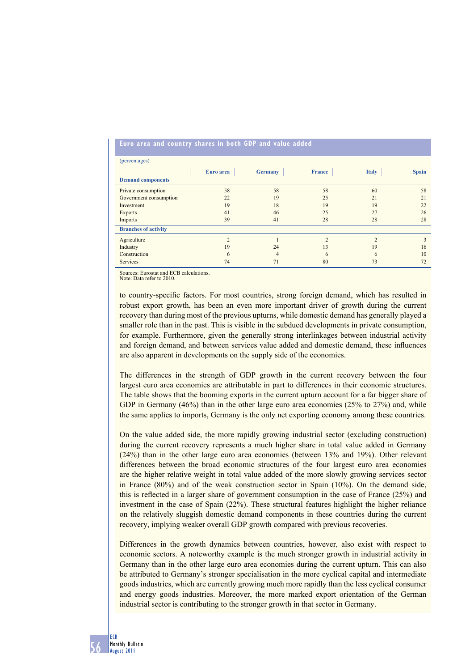| (percentages)               |                |                |               |              |              |
|-----------------------------|----------------|----------------|---------------|--------------|--------------|
|                             | Euro area      | <b>Germany</b> | <b>France</b> | <b>Italy</b> | <b>Spain</b> |
| <b>Demand components</b>    |                |                |               |              |              |
| Private consumption         | 58             | 58             | 58            | 60           | 58           |
| Government consumption      | 22             | 19             | 25            | 21           | 21           |
| Investment                  | 19             | 18             | 19            | 19           | 22           |
| <b>Exports</b>              | 41             | 46             | 25            | 27           | 26           |
| Imports                     | 39             | 41             | 28            | 28           | 28           |
| <b>Branches of activity</b> |                |                |               |              |              |
| Agriculture                 | $\overline{2}$ |                | $\bigcap$     | ↑            | 3            |
| Industry                    | 19             | 24             | 13            | 19           | 16           |
| Construction                | 6              | 4              | 6             | 6            | 10           |
| <b>Services</b>             | 74             | 71             | 80            | 73           | 72           |

### **Euro area and country shares in both GDP and value added**

Sources: Eurostat and ECB calculations.

Note: Data refer to 2010.

to country-specific factors. For most countries, strong foreign demand, which has resulted in robust export growth, has been an even more important driver of growth during the current recovery than during most of the previous upturns, while domestic demand has generally played a smaller role than in the past. This is visible in the subdued developments in private consumption, for example. Furthermore, given the generally strong interlinkages between industrial activity and foreign demand, and between services value added and domestic demand, these influences are also apparent in developments on the supply side of the economies.

The differences in the strength of GDP growth in the current recovery between the four largest euro area economies are attributable in part to differences in their economic structures. The table shows that the booming exports in the current upturn account for a far bigger share of GDP in Germany (46%) than in the other large euro area economies (25% to 27%) and, while the same applies to imports, Germany is the only net exporting economy among these countries.

On the value added side, the more rapidly growing industrial sector (excluding construction) during the current recovery represents a much higher share in total value added in Germany (24%) than in the other large euro area economies (between 13% and 19%). Other relevant differences between the broad economic structures of the four largest euro area economies are the higher relative weight in total value added of the more slowly growing services sector in France (80%) and of the weak construction sector in Spain (10%). On the demand side, this is reflected in a larger share of government consumption in the case of France  $(25%)$  and investment in the case of Spain (22%). These structural features highlight the higher reliance on the relatively sluggish domestic demand components in these countries during the current recovery, implying weaker overall GDP growth compared with previous recoveries.

Differences in the growth dynamics between countries, however, also exist with respect to economic sectors. A noteworthy example is the much stronger growth in industrial activity in Germany than in the other large euro area economies during the current upturn. This can also be attributed to Germany's stronger specialisation in the more cyclical capital and intermediate goods industries, which are currently growing much more rapidly than the less cyclical consumer and energy goods industries. Moreover, the more marked export orientation of the German industrial sector is contributing to the stronger growth in that sector in Germany.